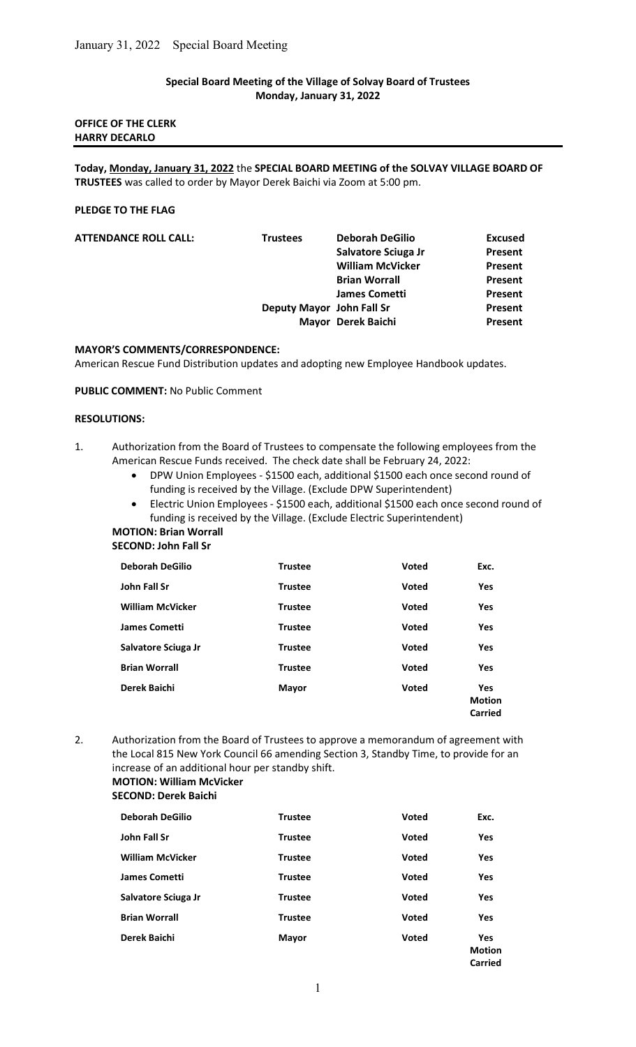# Special Board Meeting of the Village of Solvay Board of Trustees Monday, January 31, 2022

# OFFICE OF THE CLERK HARRY DECARLO

Today, Monday, January 31, 2022 the SPECIAL BOARD MEETING of the SOLVAY VILLAGE BOARD OF TRUSTEES was called to order by Mayor Derek Baichi via Zoom at 5:00 pm.

## PLEDGE TO THE FLAG

| <b>Trustees</b> | <b>Deborah DeGilio</b>  | <b>Excused</b>                                  |
|-----------------|-------------------------|-------------------------------------------------|
|                 | Salvatore Sciuga Jr     | Present                                         |
|                 | <b>William McVicker</b> | Present                                         |
|                 | <b>Brian Worrall</b>    | Present                                         |
|                 | James Cometti           | Present                                         |
|                 |                         | Present                                         |
|                 |                         | Present                                         |
|                 |                         | Deputy Mayor John Fall Sr<br>Mayor Derek Baichi |

#### MAYOR'S COMMENTS/CORRESPONDENCE:

American Rescue Fund Distribution updates and adopting new Employee Handbook updates.

#### PUBLIC COMMENT: No Public Comment

# RESOLUTIONS:

- 1. Authorization from the Board of Trustees to compensate the following employees from the American Rescue Funds received. The check date shall be February 24, 2022:
	- DPW Union Employees \$1500 each, additional \$1500 each once second round of funding is received by the Village. (Exclude DPW Superintendent)
	- Electric Union Employees \$1500 each, additional \$1500 each once second round of funding is received by the Village. (Exclude Electric Superintendent)

#### MOTION: Brian Worrall SECOND: John Fall Sr

| <b>Trustee</b> | <b>Voted</b> | Exc.                                   |
|----------------|--------------|----------------------------------------|
| <b>Trustee</b> | Voted        | <b>Yes</b>                             |
| <b>Trustee</b> | <b>Voted</b> | Yes                                    |
| <b>Trustee</b> | <b>Voted</b> | <b>Yes</b>                             |
| <b>Trustee</b> | <b>Voted</b> | Yes                                    |
| <b>Trustee</b> | <b>Voted</b> | <b>Yes</b>                             |
| Mayor          | Voted        | Yes<br><b>Motion</b><br><b>Carried</b> |
|                |              |                                        |

2. Authorization from the Board of Trustees to approve a memorandum of agreement with the Local 815 New York Council 66 amending Section 3, Standby Time, to provide for an increase of an additional hour per standby shift.

## MOTION: William McVicker SECOND: Derek Baichi

| <b>Deborah DeGilio</b>  | <b>Trustee</b> | <b>Voted</b> | Exc.                                   |
|-------------------------|----------------|--------------|----------------------------------------|
| John Fall Sr            | <b>Trustee</b> | Voted        | <b>Yes</b>                             |
| <b>William McVicker</b> | <b>Trustee</b> | <b>Voted</b> | <b>Yes</b>                             |
| <b>James Cometti</b>    | <b>Trustee</b> | <b>Voted</b> | <b>Yes</b>                             |
| Salvatore Sciuga Jr     | <b>Trustee</b> | <b>Voted</b> | Yes                                    |
| <b>Brian Worrall</b>    | <b>Trustee</b> | <b>Voted</b> | <b>Yes</b>                             |
| Derek Baichi            | Mayor          | Voted        | <b>Yes</b><br><b>Motion</b><br>Carried |